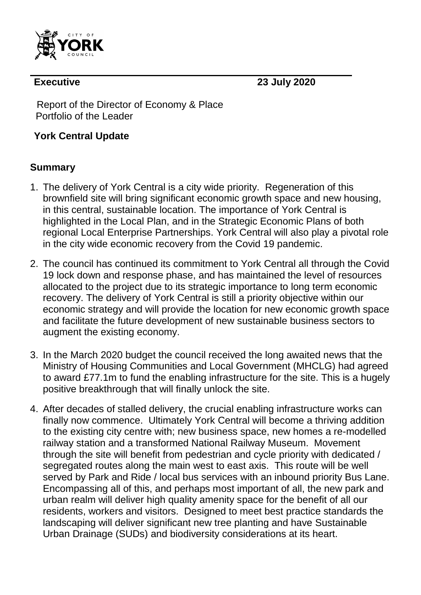

**Executive 23 July 2020**

Report of the Director of Economy & Place Portfolio of the Leader

## **York Central Update**

## **Summary**

- 1. The delivery of York Central is a city wide priority. Regeneration of this brownfield site will bring significant economic growth space and new housing, in this central, sustainable location. The importance of York Central is highlighted in the Local Plan, and in the Strategic Economic Plans of both regional Local Enterprise Partnerships. York Central will also play a pivotal role in the city wide economic recovery from the Covid 19 pandemic.
- 2. The council has continued its commitment to York Central all through the Covid 19 lock down and response phase, and has maintained the level of resources allocated to the project due to its strategic importance to long term economic recovery. The delivery of York Central is still a priority objective within our economic strategy and will provide the location for new economic growth space and facilitate the future development of new sustainable business sectors to augment the existing economy.
- 3. In the March 2020 budget the council received the long awaited news that the Ministry of Housing Communities and Local Government (MHCLG) had agreed to award £77.1m to fund the enabling infrastructure for the site. This is a hugely positive breakthrough that will finally unlock the site.
- 4. After decades of stalled delivery, the crucial enabling infrastructure works can finally now commence. Ultimately York Central will become a thriving addition to the existing city centre with; new business space, new homes a re-modelled railway station and a transformed National Railway Museum. Movement through the site will benefit from pedestrian and cycle priority with dedicated / segregated routes along the main west to east axis. This route will be well served by Park and Ride / local bus services with an inbound priority Bus Lane. Encompassing all of this, and perhaps most important of all, the new park and urban realm will deliver high quality amenity space for the benefit of all our residents, workers and visitors. Designed to meet best practice standards the landscaping will deliver significant new tree planting and have Sustainable Urban Drainage (SUDs) and biodiversity considerations at its heart.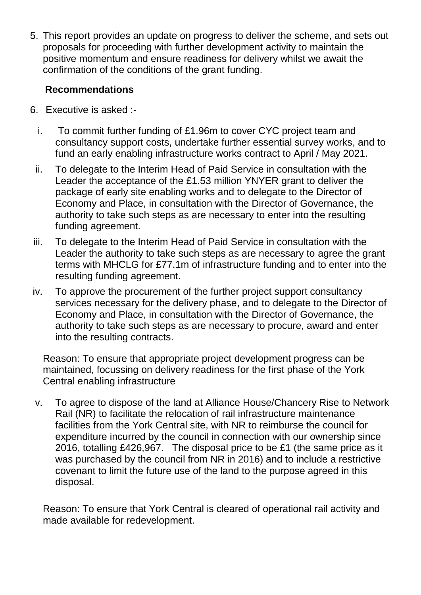5. This report provides an update on progress to deliver the scheme, and sets out proposals for proceeding with further development activity to maintain the positive momentum and ensure readiness for delivery whilst we await the confirmation of the conditions of the grant funding.

## **Recommendations**

- 6. Executive is asked :
	- i. To commit further funding of £1.96m to cover CYC project team and consultancy support costs, undertake further essential survey works, and to fund an early enabling infrastructure works contract to April / May 2021.
	- ii. To delegate to the Interim Head of Paid Service in consultation with the Leader the acceptance of the £1.53 million YNYER grant to deliver the package of early site enabling works and to delegate to the Director of Economy and Place, in consultation with the Director of Governance, the authority to take such steps as are necessary to enter into the resulting funding agreement.
- iii. To delegate to the Interim Head of Paid Service in consultation with the Leader the authority to take such steps as are necessary to agree the grant terms with MHCLG for £77.1m of infrastructure funding and to enter into the resulting funding agreement.
- iv. To approve the procurement of the further project support consultancy services necessary for the delivery phase, and to delegate to the Director of Economy and Place, in consultation with the Director of Governance, the authority to take such steps as are necessary to procure, award and enter into the resulting contracts.

Reason: To ensure that appropriate project development progress can be maintained, focussing on delivery readiness for the first phase of the York Central enabling infrastructure

v. To agree to dispose of the land at Alliance House/Chancery Rise to Network Rail (NR) to facilitate the relocation of rail infrastructure maintenance facilities from the York Central site, with NR to reimburse the council for expenditure incurred by the council in connection with our ownership since 2016, totalling £426,967. The disposal price to be £1 (the same price as it was purchased by the council from NR in 2016) and to include a restrictive covenant to limit the future use of the land to the purpose agreed in this disposal.

Reason: To ensure that York Central is cleared of operational rail activity and made available for redevelopment.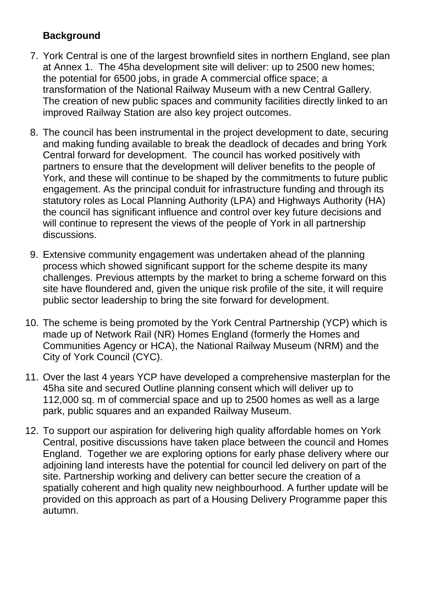## **Background**

- 7. York Central is one of the largest brownfield sites in northern England, see plan at Annex 1. The 45ha development site will deliver: up to 2500 new homes; the potential for 6500 jobs, in grade A commercial office space; a transformation of the National Railway Museum with a new Central Gallery. The creation of new public spaces and community facilities directly linked to an improved Railway Station are also key project outcomes.
- 8. The council has been instrumental in the project development to date, securing and making funding available to break the deadlock of decades and bring York Central forward for development. The council has worked positively with partners to ensure that the development will deliver benefits to the people of York, and these will continue to be shaped by the commitments to future public engagement. As the principal conduit for infrastructure funding and through its statutory roles as Local Planning Authority (LPA) and Highways Authority (HA) the council has significant influence and control over key future decisions and will continue to represent the views of the people of York in all partnership discussions.
- 9. Extensive community engagement was undertaken ahead of the planning process which showed significant support for the scheme despite its many challenges. Previous attempts by the market to bring a scheme forward on this site have floundered and, given the unique risk profile of the site, it will require public sector leadership to bring the site forward for development.
- 10. The scheme is being promoted by the York Central Partnership (YCP) which is made up of Network Rail (NR) Homes England (formerly the Homes and Communities Agency or HCA), the National Railway Museum (NRM) and the City of York Council (CYC).
- 11. Over the last 4 years YCP have developed a comprehensive masterplan for the 45ha site and secured Outline planning consent which will deliver up to 112,000 sq. m of commercial space and up to 2500 homes as well as a large park, public squares and an expanded Railway Museum.
- 12. To support our aspiration for delivering high quality affordable homes on York Central, positive discussions have taken place between the council and Homes England. Together we are exploring options for early phase delivery where our adjoining land interests have the potential for council led delivery on part of the site. Partnership working and delivery can better secure the creation of a spatially coherent and high quality new neighbourhood. A further update will be provided on this approach as part of a Housing Delivery Programme paper this autumn.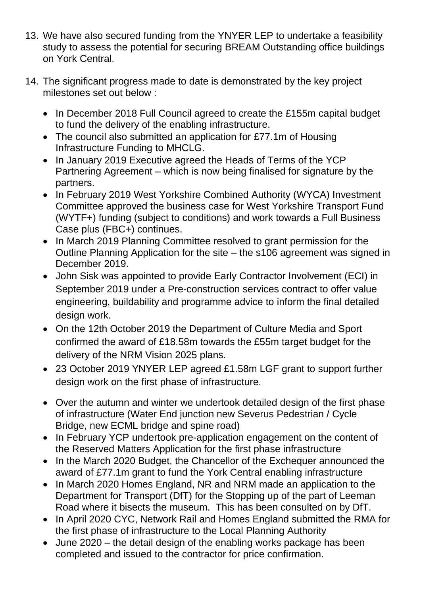- 13. We have also secured funding from the YNYER LEP to undertake a feasibility study to assess the potential for securing BREAM Outstanding office buildings on York Central.
- 14. The significant progress made to date is demonstrated by the key project milestones set out below :
	- In December 2018 Full Council agreed to create the £155m capital budget to fund the delivery of the enabling infrastructure.
	- The council also submitted an application for £77.1m of Housing Infrastructure Funding to MHCLG.
	- In January 2019 Executive agreed the Heads of Terms of the YCP Partnering Agreement – which is now being finalised for signature by the partners.
	- In February 2019 West Yorkshire Combined Authority (WYCA) Investment Committee approved the business case for West Yorkshire Transport Fund (WYTF+) funding (subject to conditions) and work towards a Full Business Case plus (FBC+) continues.
	- In March 2019 Planning Committee resolved to grant permission for the Outline Planning Application for the site – the s106 agreement was signed in December 2019.
	- John Sisk was appointed to provide Early Contractor Involvement (ECI) in September 2019 under a Pre-construction services contract to offer value engineering, buildability and programme advice to inform the final detailed design work.
	- On the 12th October 2019 the Department of Culture Media and Sport confirmed the award of £18.58m towards the £55m target budget for the delivery of the NRM Vision 2025 plans.
	- 23 October 2019 YNYER LEP agreed £1.58m LGF grant to support further design work on the first phase of infrastructure.
	- Over the autumn and winter we undertook detailed design of the first phase of infrastructure (Water End junction new Severus Pedestrian / Cycle Bridge, new ECML bridge and spine road)
	- In February YCP undertook pre-application engagement on the content of the Reserved Matters Application for the first phase infrastructure
	- In the March 2020 Budget, the Chancellor of the Exchequer announced the award of £77.1m grant to fund the York Central enabling infrastructure
	- In March 2020 Homes England, NR and NRM made an application to the Department for Transport (DfT) for the Stopping up of the part of Leeman Road where it bisects the museum. This has been consulted on by DfT.
	- In April 2020 CYC, Network Rail and Homes England submitted the RMA for the first phase of infrastructure to the Local Planning Authority
	- June 2020 the detail design of the enabling works package has been completed and issued to the contractor for price confirmation.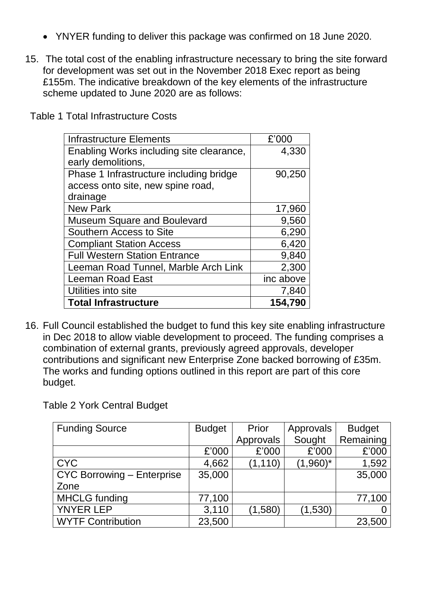- YNYER funding to deliver this package was confirmed on 18 June 2020.
- 15. The total cost of the enabling infrastructure necessary to bring the site forward for development was set out in the November 2018 Exec report as being £155m. The indicative breakdown of the key elements of the infrastructure scheme updated to June 2020 are as follows:

| <b>Infrastructure Elements</b>           | £'000     |
|------------------------------------------|-----------|
| Enabling Works including site clearance, | 4,330     |
| early demolitions,                       |           |
| Phase 1 Infrastructure including bridge  | 90,250    |
| access onto site, new spine road,        |           |
| drainage                                 |           |
| <b>New Park</b>                          | 17,960    |
| <b>Museum Square and Boulevard</b>       | 9,560     |
| Southern Access to Site                  | 6,290     |
| <b>Compliant Station Access</b>          | 6,420     |
| <b>Full Western Station Entrance</b>     | 9,840     |
| Leeman Road Tunnel, Marble Arch Link     | 2,300     |
| <b>Leeman Road East</b>                  | inc above |
| Utilities into site                      | 7,840     |
| <b>Total Infrastructure</b>              | 154,790   |

Table 1 Total Infrastructure Costs

16. Full Council established the budget to fund this key site enabling infrastructure in Dec 2018 to allow viable development to proceed. The funding comprises a combination of external grants, previously agreed approvals, developer contributions and significant new Enterprise Zone backed borrowing of £35m. The works and funding options outlined in this report are part of this core budget.

Table 2 York Central Budget

| <b>Funding Source</b>      | <b>Budget</b> | Prior     | Approvals   | <b>Budget</b> |
|----------------------------|---------------|-----------|-------------|---------------|
|                            |               | Approvals | Sought      | Remaining     |
|                            | £'000         | £'000     | £'000       | £'000         |
| <b>CYC</b>                 | 4,662         | (1, 110)  | $(1,960)^*$ | 1,592         |
| CYC Borrowing - Enterprise | 35,000        |           |             | 35,000        |
| Zone                       |               |           |             |               |
| <b>MHCLG</b> funding       | 77,100        |           |             | 77,100        |
| <b>YNYER LEP</b>           | 3,110         | (1,580)   | (1,530)     |               |
| <b>WYTF Contribution</b>   | 23,500        |           |             | 23,500        |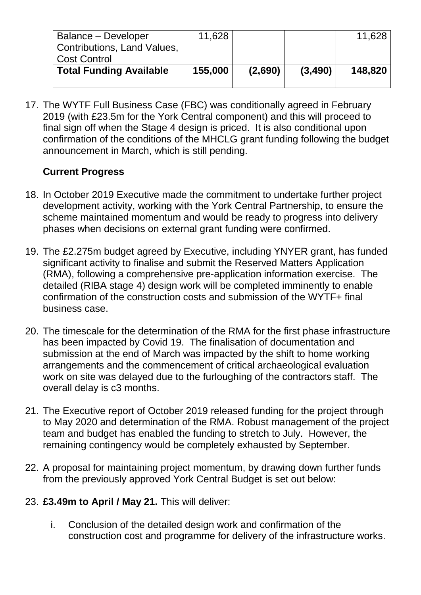| Balance – Developer<br>Contributions, Land Values,<br><b>Cost Control</b> | 11,628  |         |          | 11,628  |
|---------------------------------------------------------------------------|---------|---------|----------|---------|
| <b>Total Funding Available</b>                                            | 155,000 | (2,690) | (3, 490) | 148,820 |

17. The WYTF Full Business Case (FBC) was conditionally agreed in February 2019 (with £23.5m for the York Central component) and this will proceed to final sign off when the Stage 4 design is priced. It is also conditional upon confirmation of the conditions of the MHCLG grant funding following the budget announcement in March, which is still pending.

## **Current Progress**

- 18. In October 2019 Executive made the commitment to undertake further project development activity, working with the York Central Partnership, to ensure the scheme maintained momentum and would be ready to progress into delivery phases when decisions on external grant funding were confirmed.
- 19. The £2.275m budget agreed by Executive, including YNYER grant, has funded significant activity to finalise and submit the Reserved Matters Application (RMA), following a comprehensive pre-application information exercise. The detailed (RIBA stage 4) design work will be completed imminently to enable confirmation of the construction costs and submission of the WYTF+ final business case.
- 20. The timescale for the determination of the RMA for the first phase infrastructure has been impacted by Covid 19. The finalisation of documentation and submission at the end of March was impacted by the shift to home working arrangements and the commencement of critical archaeological evaluation work on site was delayed due to the furloughing of the contractors staff. The overall delay is c3 months.
- 21. The Executive report of October 2019 released funding for the project through to May 2020 and determination of the RMA. Robust management of the project team and budget has enabled the funding to stretch to July. However, the remaining contingency would be completely exhausted by September.
- 22. A proposal for maintaining project momentum, by drawing down further funds from the previously approved York Central Budget is set out below:
- 23. **£3.49m to April / May 21.** This will deliver:
	- i. Conclusion of the detailed design work and confirmation of the construction cost and programme for delivery of the infrastructure works.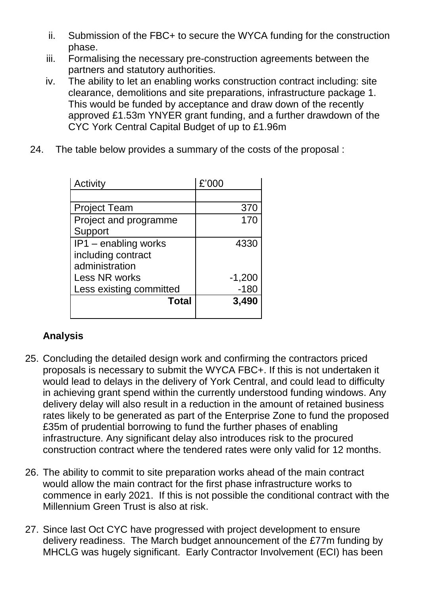- ii. Submission of the FBC+ to secure the WYCA funding for the construction phase.
- iii. Formalising the necessary pre-construction agreements between the partners and statutory authorities.
- iv. The ability to let an enabling works construction contract including: site clearance, demolitions and site preparations, infrastructure package 1. This would be funded by acceptance and draw down of the recently approved £1.53m YNYER grant funding, and a further drawdown of the CYC York Central Capital Budget of up to £1.96m
- 24. The table below provides a summary of the costs of the proposal :

| Activity                | £'000    |
|-------------------------|----------|
|                         |          |
| <b>Project Team</b>     | 370      |
| Project and programme   | 170      |
| Support                 |          |
| IP1 - enabling works    | 4330     |
| including contract      |          |
| administration          |          |
| Less NR works           | $-1,200$ |
| Less existing committed | $-180$   |
| <b>Total</b>            | 3,490    |
|                         |          |

# **Analysis**

- 25. Concluding the detailed design work and confirming the contractors priced proposals is necessary to submit the WYCA FBC+. If this is not undertaken it would lead to delays in the delivery of York Central, and could lead to difficulty in achieving grant spend within the currently understood funding windows. Any delivery delay will also result in a reduction in the amount of retained business rates likely to be generated as part of the Enterprise Zone to fund the proposed £35m of prudential borrowing to fund the further phases of enabling infrastructure. Any significant delay also introduces risk to the procured construction contract where the tendered rates were only valid for 12 months.
- 26. The ability to commit to site preparation works ahead of the main contract would allow the main contract for the first phase infrastructure works to commence in early 2021. If this is not possible the conditional contract with the Millennium Green Trust is also at risk.
- 27. Since last Oct CYC have progressed with project development to ensure delivery readiness. The March budget announcement of the £77m funding by MHCLG was hugely significant. Early Contractor Involvement (ECI) has been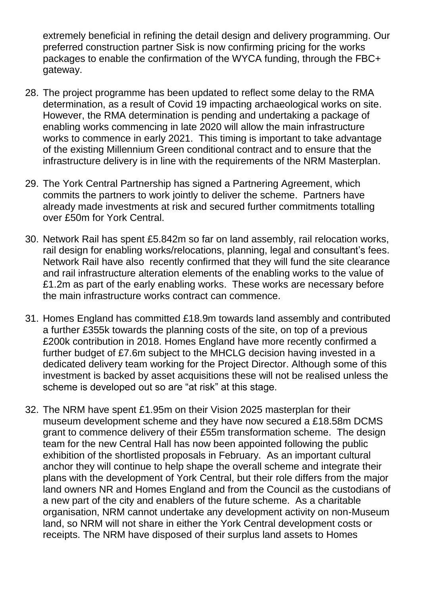extremely beneficial in refining the detail design and delivery programming. Our preferred construction partner Sisk is now confirming pricing for the works packages to enable the confirmation of the WYCA funding, through the FBC+ gateway.

- 28. The project programme has been updated to reflect some delay to the RMA determination, as a result of Covid 19 impacting archaeological works on site. However, the RMA determination is pending and undertaking a package of enabling works commencing in late 2020 will allow the main infrastructure works to commence in early 2021. This timing is important to take advantage of the existing Millennium Green conditional contract and to ensure that the infrastructure delivery is in line with the requirements of the NRM Masterplan.
- 29. The York Central Partnership has signed a Partnering Agreement, which commits the partners to work jointly to deliver the scheme. Partners have already made investments at risk and secured further commitments totalling over £50m for York Central.
- 30. Network Rail has spent £5.842m so far on land assembly, rail relocation works, rail design for enabling works/relocations, planning, legal and consultant's fees. Network Rail have also recently confirmed that they will fund the site clearance and rail infrastructure alteration elements of the enabling works to the value of £1.2m as part of the early enabling works. These works are necessary before the main infrastructure works contract can commence.
- 31. Homes England has committed £18.9m towards land assembly and contributed a further £355k towards the planning costs of the site, on top of a previous £200k contribution in 2018. Homes England have more recently confirmed a further budget of £7.6m subject to the MHCLG decision having invested in a dedicated delivery team working for the Project Director. Although some of this investment is backed by asset acquisitions these will not be realised unless the scheme is developed out so are "at risk" at this stage.
- 32. The NRM have spent £1.95m on their Vision 2025 masterplan for their museum development scheme and they have now secured a £18.58m DCMS grant to commence delivery of their £55m transformation scheme. The design team for the new Central Hall has now been appointed following the public exhibition of the shortlisted proposals in February. As an important cultural anchor they will continue to help shape the overall scheme and integrate their plans with the development of York Central, but their role differs from the major land owners NR and Homes England and from the Council as the custodians of a new part of the city and enablers of the future scheme. As a charitable organisation, NRM cannot undertake any development activity on non-Museum land, so NRM will not share in either the York Central development costs or receipts. The NRM have disposed of their surplus land assets to Homes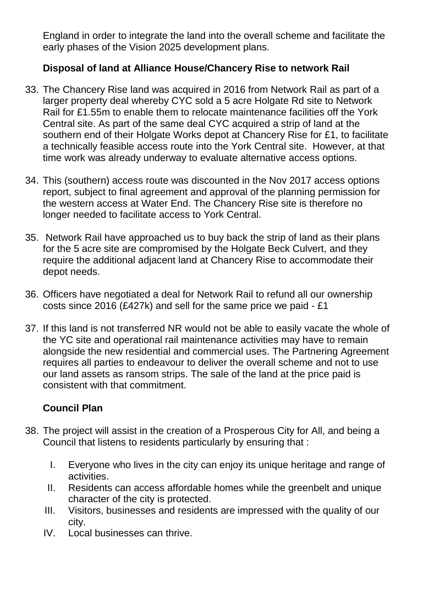England in order to integrate the land into the overall scheme and facilitate the early phases of the Vision 2025 development plans.

## **Disposal of land at Alliance House/Chancery Rise to network Rail**

- 33. The Chancery Rise land was acquired in 2016 from Network Rail as part of a larger property deal whereby CYC sold a 5 acre Holgate Rd site to Network Rail for £1.55m to enable them to relocate maintenance facilities off the York Central site. As part of the same deal CYC acquired a strip of land at the southern end of their Holgate Works depot at Chancery Rise for £1, to facilitate a technically feasible access route into the York Central site. However, at that time work was already underway to evaluate alternative access options.
- 34. This (southern) access route was discounted in the Nov 2017 access options report, subject to final agreement and approval of the planning permission for the western access at Water End. The Chancery Rise site is therefore no longer needed to facilitate access to York Central.
- 35. Network Rail have approached us to buy back the strip of land as their plans for the 5 acre site are compromised by the Holgate Beck Culvert, and they require the additional adjacent land at Chancery Rise to accommodate their depot needs.
- 36. Officers have negotiated a deal for Network Rail to refund all our ownership costs since 2016 (£427k) and sell for the same price we paid - £1
- 37. If this land is not transferred NR would not be able to easily vacate the whole of the YC site and operational rail maintenance activities may have to remain alongside the new residential and commercial uses. The Partnering Agreement requires all parties to endeavour to deliver the overall scheme and not to use our land assets as ransom strips. The sale of the land at the price paid is consistent with that commitment.

# **Council Plan**

- 38. The project will assist in the creation of a Prosperous City for All, and being a Council that listens to residents particularly by ensuring that :
	- I. Everyone who lives in the city can enjoy its unique heritage and range of **activities**
	- II. Residents can access affordable homes while the greenbelt and unique character of the city is protected.
	- III. Visitors, businesses and residents are impressed with the quality of our city.
	- IV. Local businesses can thrive.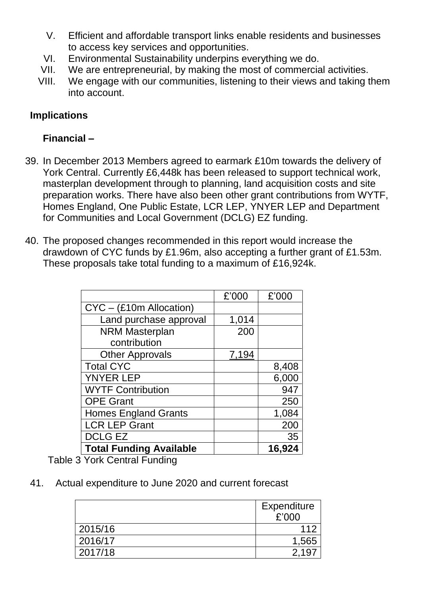- V. Efficient and affordable transport links enable residents and businesses to access key services and opportunities.
- VI. Environmental Sustainability underpins everything we do.
- VII. We are entrepreneurial, by making the most of commercial activities.
- VIII. We engage with our communities, listening to their views and taking them into account.

#### **Implications**

## **Financial –**

- 39. In December 2013 Members agreed to earmark £10m towards the delivery of York Central. Currently £6,448k has been released to support technical work, masterplan development through to planning, land acquisition costs and site preparation works. There have also been other grant contributions from WYTF, Homes England, One Public Estate, LCR LEP, YNYER LEP and Department for Communities and Local Government (DCLG) EZ funding.
- 40. The proposed changes recommended in this report would increase the drawdown of CYC funds by £1.96m, also accepting a further grant of £1.53m. These proposals take total funding to a maximum of £16,924k.

|                                | £'000 | £'000  |
|--------------------------------|-------|--------|
| $CYC - (£10m$ Allocation)      |       |        |
| Land purchase approval         | 1,014 |        |
| <b>NRM Masterplan</b>          | 200   |        |
| contribution                   |       |        |
| <b>Other Approvals</b>         | 7,194 |        |
| <b>Total CYC</b>               |       | 8,408  |
| <b>YNYER LEP</b>               |       | 6,000  |
| <b>WYTF Contribution</b>       |       | 947    |
| <b>OPE Grant</b>               |       | 250    |
| <b>Homes England Grants</b>    |       | 1,084  |
| <b>LCR LEP Grant</b>           |       | 200    |
| <b>DCLG EZ</b>                 |       | 35     |
| <b>Total Funding Available</b> |       | 16,924 |

Table 3 York Central Funding

41. Actual expenditure to June 2020 and current forecast

|         | Expenditure |
|---------|-------------|
|         | £'000       |
| 2015/16 | 112         |
| 2016/17 | 1,565       |
| 2017/18 |             |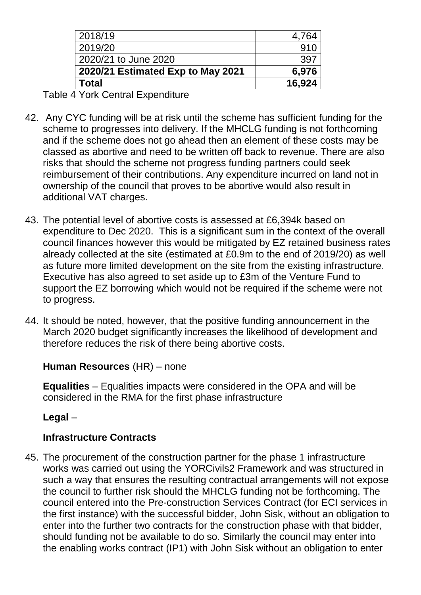| Total                             | 16,924          |
|-----------------------------------|-----------------|
| 2020/21 Estimated Exp to May 2021 | 6,976           |
| 2020/21 to June 2020              | 397             |
| 2019/20                           | 91 <sub>C</sub> |
| 2018/19                           | 4,764           |

Table 4 York Central Expenditure

- 42. Any CYC funding will be at risk until the scheme has sufficient funding for the scheme to progresses into delivery. If the MHCLG funding is not forthcoming and if the scheme does not go ahead then an element of these costs may be classed as abortive and need to be written off back to revenue. There are also risks that should the scheme not progress funding partners could seek reimbursement of their contributions. Any expenditure incurred on land not in ownership of the council that proves to be abortive would also result in additional VAT charges.
- 43. The potential level of abortive costs is assessed at £6,394k based on expenditure to Dec 2020. This is a significant sum in the context of the overall council finances however this would be mitigated by EZ retained business rates already collected at the site (estimated at £0.9m to the end of 2019/20) as well as future more limited development on the site from the existing infrastructure. Executive has also agreed to set aside up to £3m of the Venture Fund to support the EZ borrowing which would not be required if the scheme were not to progress.
- 44. It should be noted, however, that the positive funding announcement in the March 2020 budget significantly increases the likelihood of development and therefore reduces the risk of there being abortive costs.

## **Human Resources** (HR) – none

**Equalities** – Equalities impacts were considered in the OPA and will be considered in the RMA for the first phase infrastructure

# **Legal** *–*

# **Infrastructure Contracts**

45. The procurement of the construction partner for the phase 1 infrastructure works was carried out using the YORCivils2 Framework and was structured in such a way that ensures the resulting contractual arrangements will not expose the council to further risk should the MHCLG funding not be forthcoming. The council entered into the Pre-construction Services Contract (for ECI services in the first instance) with the successful bidder, John Sisk, without an obligation to enter into the further two contracts for the construction phase with that bidder, should funding not be available to do so. Similarly the council may enter into the enabling works contract (IP1) with John Sisk without an obligation to enter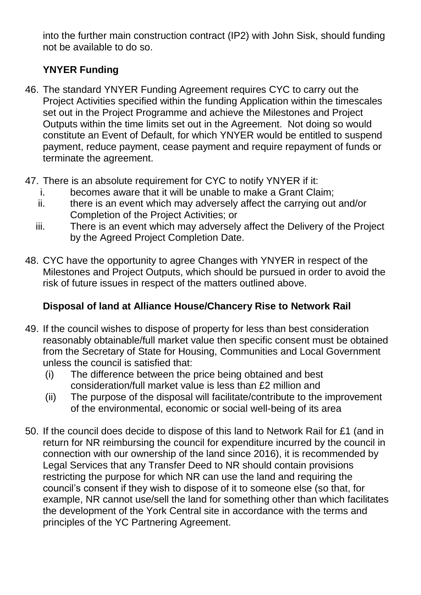into the further main construction contract (IP2) with John Sisk, should funding not be available to do so.

## **YNYER Funding**

- 46. The standard YNYER Funding Agreement requires CYC to carry out the Project Activities specified within the funding Application within the timescales set out in the Project Programme and achieve the Milestones and Project Outputs within the time limits set out in the Agreement. Not doing so would constitute an Event of Default, for which YNYER would be entitled to suspend payment, reduce payment, cease payment and require repayment of funds or terminate the agreement.
- 47. There is an absolute requirement for CYC to notify YNYER if it:
	- i. becomes aware that it will be unable to make a Grant Claim;
	- ii. there is an event which may adversely affect the carrying out and/or Completion of the Project Activities; or
	- iii. There is an event which may adversely affect the Delivery of the Project by the Agreed Project Completion Date.
- 48. CYC have the opportunity to agree Changes with YNYER in respect of the Milestones and Project Outputs, which should be pursued in order to avoid the risk of future issues in respect of the matters outlined above.

## **Disposal of land at Alliance House/Chancery Rise to Network Rail**

- 49. If the council wishes to dispose of property for less than best consideration reasonably obtainable/full market value then specific consent must be obtained from the Secretary of State for Housing, Communities and Local Government unless the council is satisfied that:
	- (i) The difference between the price being obtained and best consideration/full market value is less than £2 million and
	- (ii) The purpose of the disposal will facilitate/contribute to the improvement of the environmental, economic or social well-being of its area
- 50. If the council does decide to dispose of this land to Network Rail for £1 (and in return for NR reimbursing the council for expenditure incurred by the council in connection with our ownership of the land since 2016), it is recommended by Legal Services that any Transfer Deed to NR should contain provisions restricting the purpose for which NR can use the land and requiring the council's consent if they wish to dispose of it to someone else (so that, for example, NR cannot use/sell the land for something other than which facilitates the development of the York Central site in accordance with the terms and principles of the YC Partnering Agreement.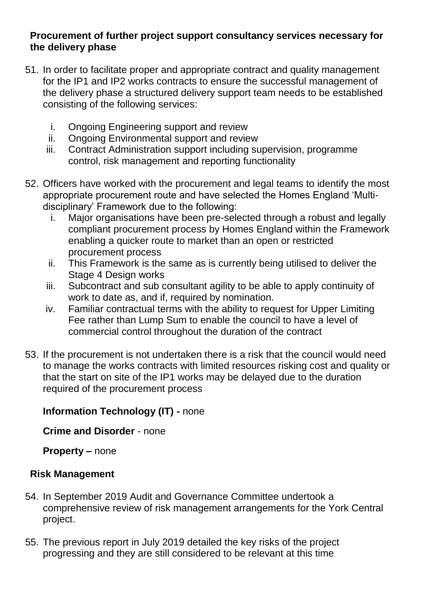#### **Procurement of further project support consultancy services necessary for the delivery phase**

- 51. In order to facilitate proper and appropriate contract and quality management for the IP1 and IP2 works contracts to ensure the successful management of the delivery phase a structured delivery support team needs to be established consisting of the following services:
	- i. Ongoing Engineering support and review
	- ii. Ongoing Environmental support and review
	- iii. Contract Administration support including supervision, programme control, risk management and reporting functionality
- 52. Officers have worked with the procurement and legal teams to identify the most appropriate procurement route and have selected the Homes England 'Multidisciplinary' Framework due to the following:
	- i. Major organisations have been pre-selected through a robust and legally compliant procurement process by Homes England within the Framework enabling a quicker route to market than an open or restricted procurement process
	- ii. This Framework is the same as is currently being utilised to deliver the Stage 4 Design works
	- iii. Subcontract and sub consultant agility to be able to apply continuity of work to date as, and if, required by nomination.
	- iv. Familiar contractual terms with the ability to request for Upper Limiting Fee rather than Lump Sum to enable the council to have a level of commercial control throughout the duration of the contract
- 53. If the procurement is not undertaken there is a risk that the council would need to manage the works contracts with limited resources risking cost and quality or that the start on site of the IP1 works may be delayed due to the duration required of the procurement process

# **Information Technology (IT) -** none

**Crime and Disorder** - none

**Property** *–* none

# **Risk Management**

- 54. In September 2019 Audit and Governance Committee undertook a comprehensive review of risk management arrangements for the York Central project.
- 55. The previous report in July 2019 detailed the key risks of the project progressing and they are still considered to be relevant at this time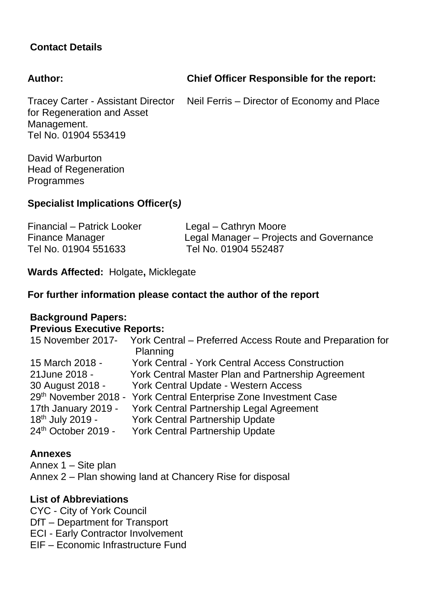#### **Contact Details**

#### **Author:**

**Chief Officer Responsible for the report:**

Neil Ferris – Director of Economy and Place

Tracey Carter - Assistant Director for Regeneration and Asset Management. Tel No. 01904 553419

David Warburton Head of Regeneration Programmes

#### **Specialist Implications Officer(s***)*

| Financial - Patrick Looker | Legal – Cathryn Moore                   |
|----------------------------|-----------------------------------------|
| <b>Finance Manager</b>     | Legal Manager – Projects and Governance |
| Tel No. 01904 551633       | Tel No. 01904 552487                    |

**Wards Affected:** Holgate**,** Micklegate

**For further information please contact the author of the report**

#### **Background Papers: Previous Executive Reports:**

| 15 November 2017- York Central – Preferred Access Route and Preparation for |
|-----------------------------------------------------------------------------|
|                                                                             |
|                                                                             |
| York Central Master Plan and Partnership Agreement                          |
|                                                                             |
|                                                                             |
|                                                                             |
|                                                                             |
|                                                                             |
|                                                                             |

#### **Annexes**

Annex 1 – Site plan Annex 2 – Plan showing land at Chancery Rise for disposal

#### **List of Abbreviations**

CYC - City of York Council DfT – Department for Transport ECI - Early Contractor Involvement EIF – Economic Infrastructure Fund